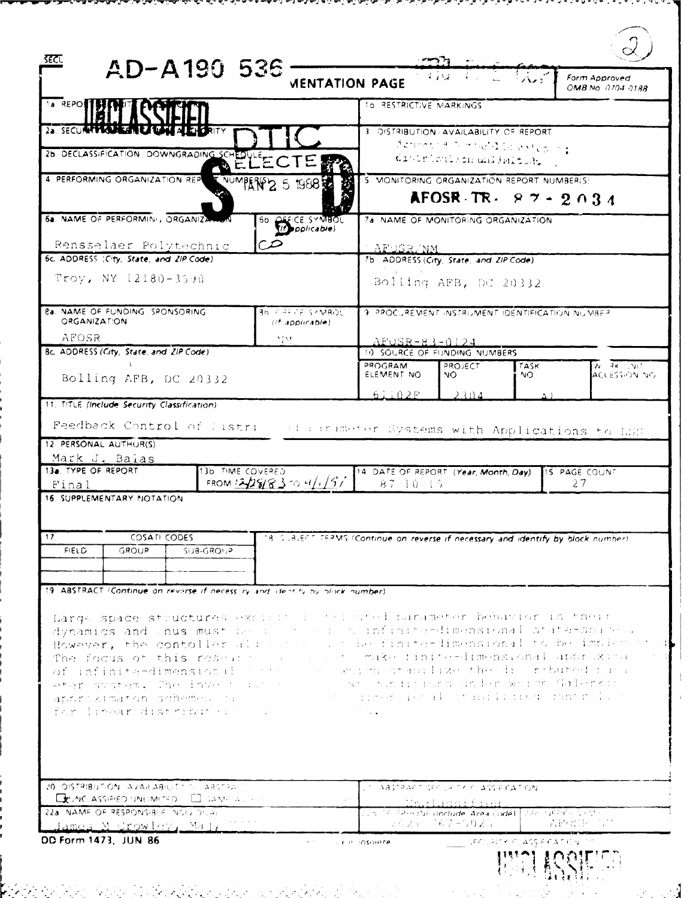| इटट                                                              |                                                                                                 | AD-A190 536                                                                                    |                                                                            |                                                                                                                                                                                                                                                                                                                                                                                                                                                                                                                                                                                                         |                                                                                                  |     |                                    |  |
|------------------------------------------------------------------|-------------------------------------------------------------------------------------------------|------------------------------------------------------------------------------------------------|----------------------------------------------------------------------------|---------------------------------------------------------------------------------------------------------------------------------------------------------------------------------------------------------------------------------------------------------------------------------------------------------------------------------------------------------------------------------------------------------------------------------------------------------------------------------------------------------------------------------------------------------------------------------------------------------|--------------------------------------------------------------------------------------------------|-----|------------------------------------|--|
|                                                                  |                                                                                                 |                                                                                                |                                                                            | <b>VIENTATION PAGE</b>                                                                                                                                                                                                                                                                                                                                                                                                                                                                                                                                                                                  | $-4.782 - 1$                                                                                     |     | Form Approved<br>OMB No. 0704 0188 |  |
| <b>Ta. REPORTS</b>                                               |                                                                                                 |                                                                                                |                                                                            | TO RESTRICTIVE MARKINGS                                                                                                                                                                                                                                                                                                                                                                                                                                                                                                                                                                                 |                                                                                                  |     |                                    |  |
| 25. SECULARIZA LE SAL FALLAMENT                                  |                                                                                                 |                                                                                                |                                                                            |                                                                                                                                                                                                                                                                                                                                                                                                                                                                                                                                                                                                         | 3 DISTRIBUTION AVAILABILITY OF REPORT                                                            |     |                                    |  |
|                                                                  |                                                                                                 | 26. DECLASSIFICATION DOWNGRADING SCHEDULE                                                      |                                                                            |                                                                                                                                                                                                                                                                                                                                                                                                                                                                                                                                                                                                         | depended in model (a mateo, he<br>distribution unlimited.                                        |     |                                    |  |
|                                                                  | 4. PERFORMING ORGANIZATION REP                                                                  |                                                                                                | NUMBER 2 5 1988                                                            | 5 MONITORING ORGANIZATION REPORT NUMBER(S)                                                                                                                                                                                                                                                                                                                                                                                                                                                                                                                                                              | AFOSR TR. $87 - 2034$                                                                            |     |                                    |  |
|                                                                  |                                                                                                 | 6a. NAME OF PERFORMINI, ORGANIZATION                                                           | 66 OFFICE SYMBOL                                                           |                                                                                                                                                                                                                                                                                                                                                                                                                                                                                                                                                                                                         | 7a NAME OF MONITORING ORGANIZATION                                                               |     |                                    |  |
|                                                                  | Rensselaer Polytechnic                                                                          |                                                                                                | $\infty$                                                                   |                                                                                                                                                                                                                                                                                                                                                                                                                                                                                                                                                                                                         | <u>- APOSR/NM</u>                                                                                |     |                                    |  |
|                                                                  | 6c. ADDRESS (City, State, and ZiP Code)                                                         |                                                                                                |                                                                            |                                                                                                                                                                                                                                                                                                                                                                                                                                                                                                                                                                                                         | 7b ADDRESS (City, State, and ZIP Code)                                                           |     |                                    |  |
|                                                                  | Troy, NY 12180-3590                                                                             |                                                                                                |                                                                            |                                                                                                                                                                                                                                                                                                                                                                                                                                                                                                                                                                                                         | Bolling AFB, DC 20332                                                                            |     |                                    |  |
| <b>&amp;a. NAME OF FUNDING SPONSORING</b><br><b>ORGANIZATION</b> |                                                                                                 |                                                                                                | <b>Bb CARCE SYMBOL</b><br>$($ <i>if</i> applicable)                        |                                                                                                                                                                                                                                                                                                                                                                                                                                                                                                                                                                                                         | 9. PROCUREMENT INSTRUMENT IDENTIFICATION NUMBER                                                  |     |                                    |  |
| AFOSR<br>NM.                                                     |                                                                                                 |                                                                                                |                                                                            |                                                                                                                                                                                                                                                                                                                                                                                                                                                                                                                                                                                                         | $AFOSR-83-0124$                                                                                  |     |                                    |  |
| Bc. ADDRESS (City, State, and ZIP Code)                          |                                                                                                 |                                                                                                |                                                                            | PROGRAM                                                                                                                                                                                                                                                                                                                                                                                                                                                                                                                                                                                                 | 10 SOURCE OF FUNDING NUMBERS<br>PROJECT<br><b>TASK</b><br>$W = RK^{-1}$ , $V(T)$                 |     |                                    |  |
|                                                                  | Bolling AFB, DC 20332                                                                           |                                                                                                |                                                                            | ELEMENT NO                                                                                                                                                                                                                                                                                                                                                                                                                                                                                                                                                                                              | NO.                                                                                              | NO. | ACLESSION NO                       |  |
| 11. TITLE (Include Security Classification)                      |                                                                                                 |                                                                                                |                                                                            | 61102F                                                                                                                                                                                                                                                                                                                                                                                                                                                                                                                                                                                                  | 2304                                                                                             |     |                                    |  |
| 17                                                               | <b>16. SUPPLEMENTARY NOTATION</b><br>COSATI CODES                                               |                                                                                                |                                                                            |                                                                                                                                                                                                                                                                                                                                                                                                                                                                                                                                                                                                         |                                                                                                  |     |                                    |  |
| <b>FIELD</b>                                                     | <b>GROUP</b>                                                                                    | SUB-GROUP                                                                                      |                                                                            | 18. SUBJERT TERMS (Continue on reverse if necessary and identify by block number).                                                                                                                                                                                                                                                                                                                                                                                                                                                                                                                      |                                                                                                  |     |                                    |  |
|                                                                  |                                                                                                 |                                                                                                |                                                                            |                                                                                                                                                                                                                                                                                                                                                                                                                                                                                                                                                                                                         |                                                                                                  |     |                                    |  |
|                                                                  |                                                                                                 |                                                                                                | 19 ABSTRACT (Continue on reverse if necessing and dentity by block number) |                                                                                                                                                                                                                                                                                                                                                                                                                                                                                                                                                                                                         |                                                                                                  |     |                                    |  |
|                                                                  |                                                                                                 |                                                                                                | for linear distributer to a communication                                  | Large space structures excited in the uted parameter behavior in their<br>dynamics and thus must be in the control infinite-dimensional state-spare.<br>However, the contoller also have not be finite-dimensional to be implem-<br>The focus of this research as a serie make finite-dimensional approximat<br>of infinite-dimensional party of animal stabilize the discributed thra<br>eter system. The invest author is a wrobbinato under whath Galerkin<br>approximaton schemes out the state of timer ieral of indicated pontral of<br>$\mathcal{L}^{\text{max}}$ and $\mathcal{L}^{\text{max}}$ |                                                                                                  |     |                                    |  |
|                                                                  | 22a. NAME OF RESPONSIBLE. NOIS OF, AL<br><u> James M Crowley, Mal, </u><br>DD Form 1473, JUN 86 | 20 DISTRIBUTION AVAILABILITY CL ABSTRAL<br><b>EXIMELASSIFIED UNILIMITED.</b> El sante a políti | $\mathbf{r} \in \mathbb{R}^n$                                              | LIT ABSTRACT SECURITY CLASSIFICATION                                                                                                                                                                                                                                                                                                                                                                                                                                                                                                                                                                    | <u>Thelassified</u><br>tin is spacens undude Area Code)   22- cosars skiira<br>しょらえ にこちりょうりえう ニー |     | 法的 地名印度                            |  |
|                                                                  |                                                                                                 |                                                                                                |                                                                            | <b>ALLA DOSCHATA</b>                                                                                                                                                                                                                                                                                                                                                                                                                                                                                                                                                                                    |                                                                                                  |     |                                    |  |

 $\mathbb{R}^n \times \mathbb{R}^n$ 

 $\mathbb{R}^n \times \mathbb{R}^n$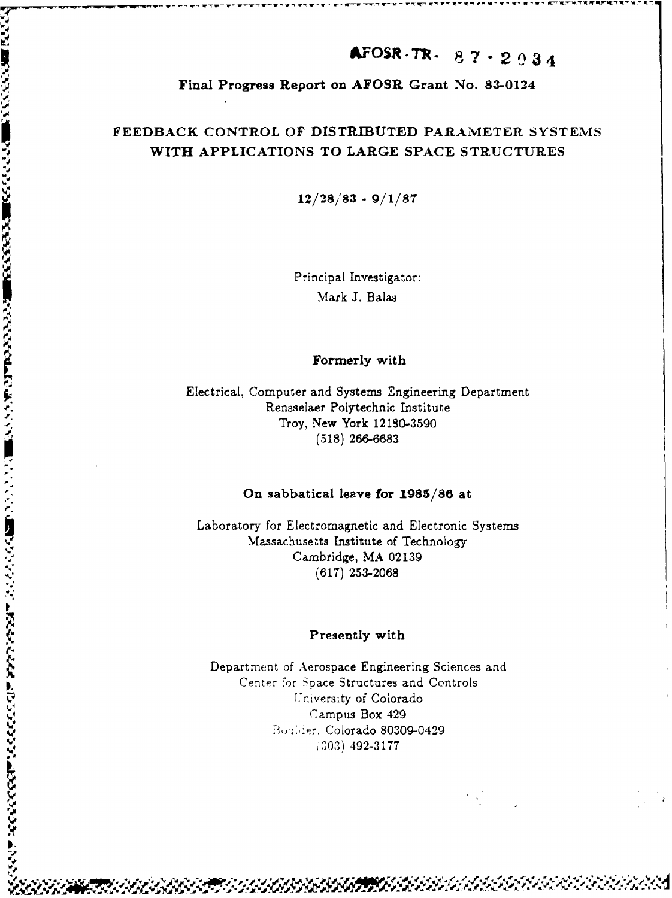# AFOSR-TR- $87 - 2034$

# Final Progress Report on AFOSR Grant No. 83-0124

# FEEDBACK CONTROL OF DISTRIBUTED PARAMETER SYSTEMS WITH APPLICATIONS TO LARGE SPACE STRUCTURES

 $12/28/83 - 9/1/87$ 

Principal Investigator: Mark J. Balas

Formerly with

Electrical, Computer and Systems Engineering Department Rensselaer Polytechnic Institute Troy, New York 12180-3590  $(518)$  266-6683

**いったい あいかん いっぱ あいいいい の面ののかのののののは あいかん こうしょう こうこう こうしょう こうしょう こうしょう こうしょう こうしょう こうしょう こうしょう** 

# On sabbatical leave for 1985/86 at

Laboratory for Electromagnetic and Electronic Systems Massachusetts Institute of Technology Cambridge, MA 02139  $(617)$  253-2068

### Presently with

Department of Aerospace Engineering Sciences and Center for Space Structures and Controls University of Colorado Campus Box 429 Boulder, Colorado 80309-0429  $(303)$  492-3177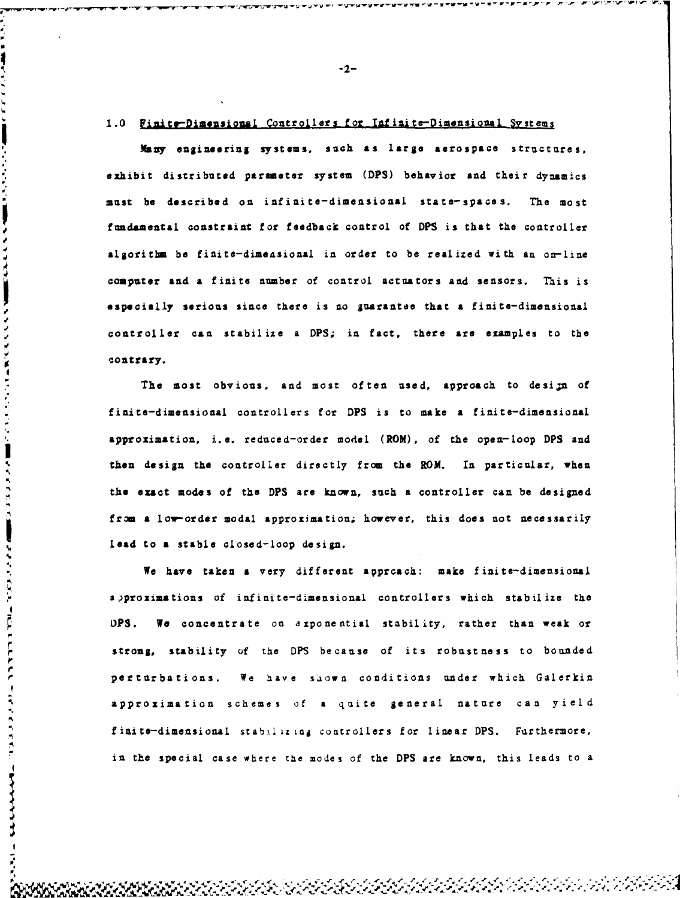#### 1.0 Finite-Dimensional Controllers for Infinite-Dimensional Systems

<sub>▀</sub>▀▀▚▀▙▀▙▀<del>▚▀▙▀▙▀▙</del>▀<del>▚▀▞▝</del>▛▀▛▀▛

**Many** engineering systems, such as large aerospace structures, exhibit distributed parmeter system (DPS) behavior and their dynamics <sup>2</sup>2-<br>
<sup>2</sup>2-<br>
<sup>2</sup>2-<br> **2 Excreme to the described on infinite-dimensional state-spaces on interactions, and the interactions of the most of the most of the most of the most be described on infinite-dimensional inter-space** fundamental constraint for feedback control of DPS is that the controller algorithm be finite-dimensional in order to be realized with an on-line computer and a finite number of control actuators and sensors. This is aspecially serious since there is no guarantee that a finite-dimensional controller can stabilize a DPS; in fact, there are examples to the **contrary.**

The most obvious, and most often used, approach to design of finite-dimensional controllers for DPS is to make a finite-dimensional approximation, i.e. reduced-order model (ROM), of the open-loop DPS and ! then design the controller directly from the ROM. In particular, when the exact modes of the DPS are known, such a controller can be designed from a low-order modal approximation; however, this does not necessarily lead to a stable closed-loop design.

We have taken a very different apprcach: make finite-dimensional approximations of infinite-dimensional controllers which stabilize the OPS. We concentrate on exponential stability, rather than weak or strong, stability of the DPS because of its robustness to bounded perturbations. We have shown conditions under which Galerkin approximation schemes of a quite general nature can yield finite-dimensional stabilizing controllers for linear DPS. Furthermore, in the special case where the modes of the DPS are known, this leads to a

**0**

-2-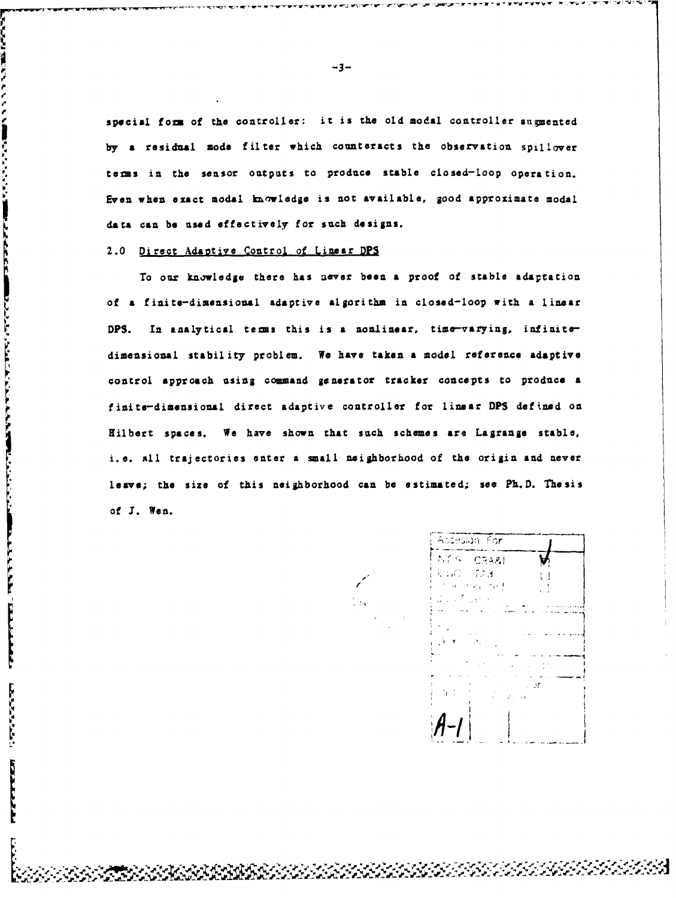special form of the controller: it is the old modal controller augmented by a residual mode filter which counteracts the observation spillover terms in the sensor outputs to produce stable closed-loop operation. Even when exact modal kuvledge is not available, good approximate modal data can **be** used effectively for such designs.

#### 2.0 Direct Adaotive Control of Linear DPS

このことに、この「このこと」ということに、「自己にしたもののの自由」のことに、このことに、このことに対していることには、このことになったということに

**TERMITED PERSONAL** 

**Contractor** 

E

Ě

To our knowledge there has aever been a proof of stable adaptation of a finite-dimensional adaptive algorithm in closed-loop with a linear DPS. In analytical terms this is a nonlinear, time-varying, infinitedimensional stability problem. We have taken **a** model reference adaptive control approach using command generator tracker concepts to produce a finite-dimensional direct adaptive controller for linear **DPS** defined on Hilbert spaces. We have shown that such schemes are Lagrange stable, i.e. all trajectories enter a small neighborhood of the origin and never leave; the size of this neighborhood can be estimated; see Ph.D. Thesis of I. Wen.

Accesion For NTIS CRA&I in an  $\sim$   $\sim$   $\sim$ せいしついき  $\sim$  and

 $-3-$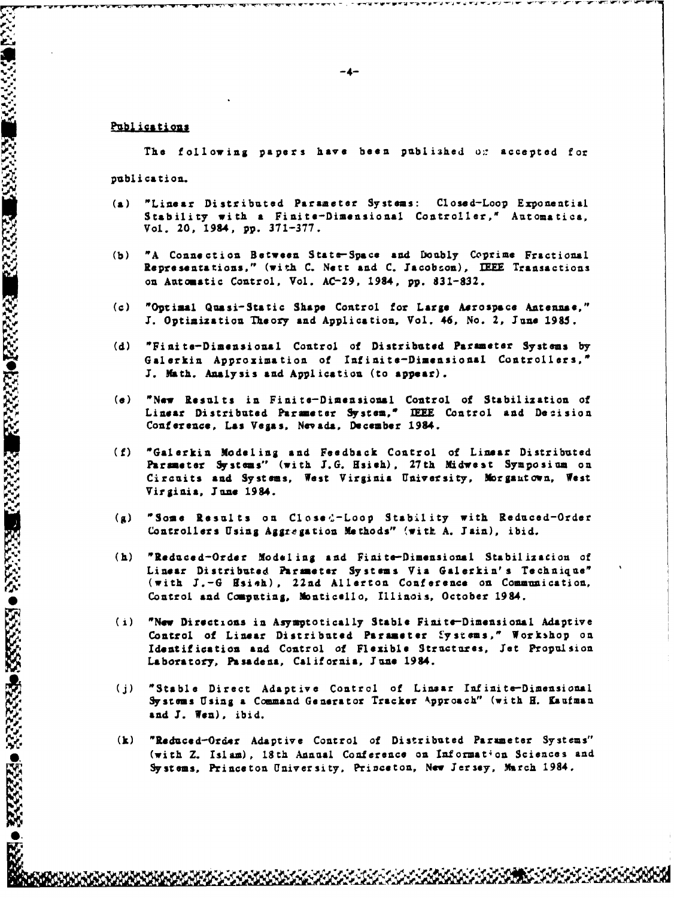#### Publications

The following papers have been published or accepted for publication.

- "Linear Distributed Parameter Systems: Closed-Loop Exponential  $(a)$ Stability with a Finite-Dimensional Controller," Automatica, Vol. 20, 1984, pp. 371-377.
- "A Connection Between State-Space and Doubly Coprime Fractional  $(h)$ Representations," (with C. Nett and C. Jacobson), IEEE Transactions on Automatic Control, Vol. AC-29, 1984, pp. 831-832.
- "Optimal Quasi-Static Shape Control for Large Aerospace Antennae,"  $(c)$ J. Optimization Theory and Application, Vol. 46, No. 2, June 1985.
- "Finite-Dimensional Control of Distributed Parameter Systems by  $(d)$ Galerkin Approximation of Infinite-Dimensional Controllers," J. Math. Analysis and Application (to appear).
- "New Results in Finite-Dimensional Control of Stabilization of  $(a)$ Linear Distributed Parameter System," IEEE Control and Decision Conference, Las Vegas, Nevada, December 1984.
- "Galerkin Modeling and Feedback Control of Linear Distributed  $(f)$ Parsmeter Systems" (with J.G. Hsieh), 27th Midwest Symposium on Circuits and Systems, West Virginia University, Morgantown, West Virginia, June 1984.
- $(g)$ "Some Results on Closed-Loop Stability with Reduced-Order Controllers Using Aggregation Methods" (with A. Jain), ibid.
- (h) "Reduced-Order Modeling and Finite-Dimensional Stabilizacion of Linear Distributed Parmeter Systems Via Galerkin's Technique" (with J.-G Hsieh), 22nd Allerton Conference on Communication, Control and Computing, Monticello, Illinois, October 1984.
- (i) "New Directions in Asymptotically Stable Finite-Dimensional Adaptive Control of Linear Distributed Parameter Systems," Workshop on Identification and Control of Flexible Structures, Jet Propulsion Laboratory, Pasadena, California, June 1984.
- $(i)$ "Stable Direct Adaptive Control of Linsar Infinite-Dimensional Systems Using a Command Generator Tracker Approach" (with H. Kaufman and J. Wen), ibid.
- $(\mathbf{k})$ "Reduced-Order Adaptive Control of Distributed Parameter Systems" (with Z. Islam), 18th Annual Conference on Information Sciences and Systems, Princeton University, Princeton, New Jersey, March 1984.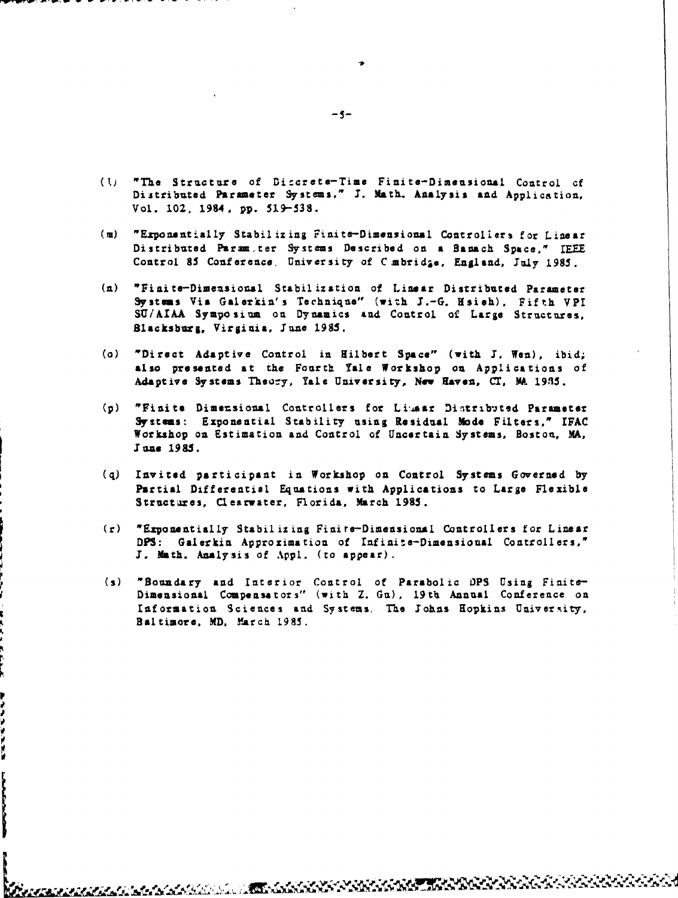- (1j "The Structure of Diccrete-Time Finite-Dimensional Control of Distributed Parameter **Systems,"** I. Math. Analysis and Application, Vol. 102, 1984, pp. 519-538.
- **(i)** "Ezponentially Stabilizing Finite-Dimensional Controllers for Linear Distributed Param<sub>ster</sub> Systems Described on a Banach Space." IEEE Control 85 Conference, University of C mbrid<sub>ã</sub>e, England, July 1985.
- (n) "Finite-Dimensional Stabilization of Linear Distributed Parameter Systems Via Galerkin's Technique" (with J.-G. Hsieh), Fifth VPI SU/AIAA Symposium on Dynamics and Control of Large Structures, Blacksburg, Virginia, **Tune** *1985.*
- (o) "Direct Adaptive Control in Hilbert Space" (with **1,** Wen), ibid; also presented at the Fourth Yale Workshop on Applications of Adaptive Systems Theory, Yale University, New Haven, CT, MA 1985.
- (p) "Finite Dimensional Controllers for Limaar Distributed Parameter Systems: Exponential Stability using Residual Mode Filters," IFAC Workshop on Estimation and Control of Uncertain Systems, Boston, MA, **IJune 1985.**
- (q) Invited participant in Workshop on Control Systems Governed by Partial Differential Equations with Applications to Large Flexible Structures, Clearwater, Florida, March **1985.**
- (r) "Exponentially Stabilizing Finire-Dimensional Controllers for Linear **DPS:** Galerkin Approximation of Infinite-Dimensioual Controllers," I. Math. Analysis of **Appl.** (to appear).
- (s) "Boundary and Interior Control of Parabolic **OPS** Using Finite-Dimensional Compensators" (with Z. Gu), 19th Annual Conference on Information Sciences and Systems, The lohns Hopkins University, Baltimore, MD, March **1985.**

**a~-** *e;,* **AM** *e* -.

i<br>D

**Channel Community** 

 $-5-$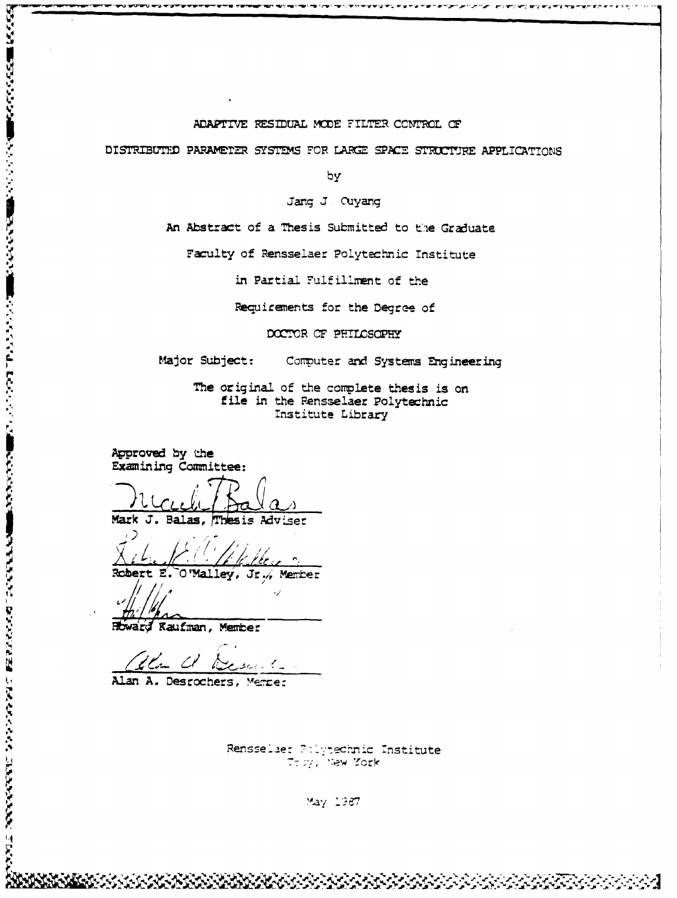#### ADAPTIVE RESIDUAL MODE FILTER CONTROL OF

DISTRIBUTED PARAMETER SYSTEMS FOR LARGE SPACE STRUCTURE APPLICATIONS

----------

א תוכן האירועים עישובים עישובים לישובים ובשירות התעוד של השימושים

by

Jang J. Cuyang

An Abstract of a Thesis Submitted to the Graduate

Faculty of Rensselaer Polytechnic Institute

in Partial Fulfillment of the

Requirements for the Degree of

DOCTOR OF PHILOSOPHY

Major Subject: Computer and Systems Engineering

> The original of the complete thesis is on file in the Rensselaer Polytechnic Institute Library

Approved by the **Examining Committee:** 

Mark J. Balas, Thesis Adviser

le keer  $\mathbf{r}$ 

O'Malley, Jr., Member Robert E.

のいけまでいったんだいことを見えています。 あかがく かんかん いっこう しゅうしょう こうしょう こうしょう こうしょう こうかい こうしょう こうしん こうしょう

溪

Howard Kaufman, Member

Un a Desurto

Alan A. Desrochers, Member

Rensselaer Polytechnic Institute Troy, New York

May 1987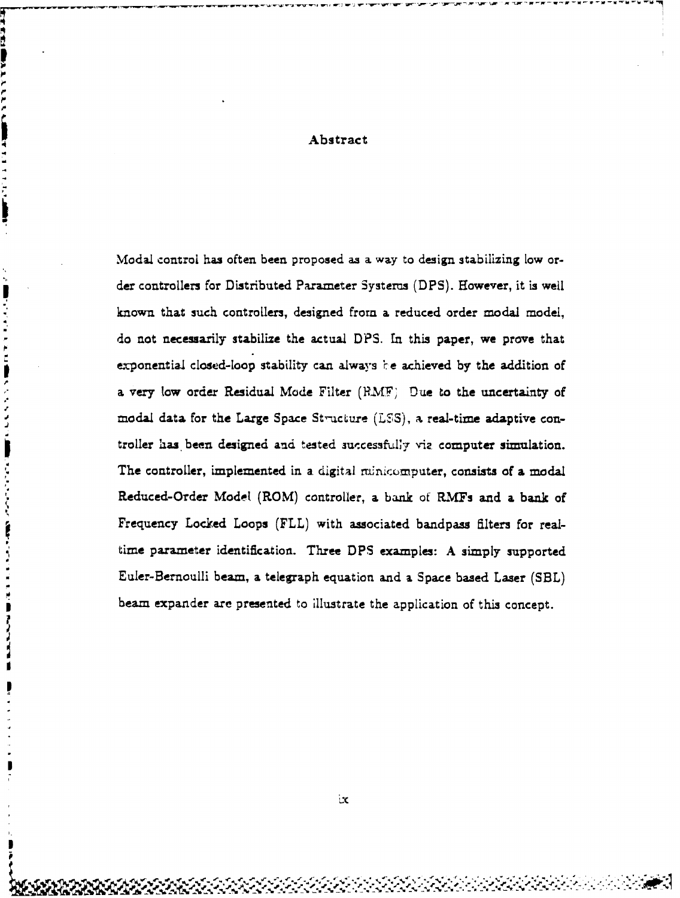### Abstract

 $\mathbf{P}$ 

Ą

■こくてき アドロ 勝 クラクママコ (機能)けんたくだく 発見 たきこと ロコ 見 勝 そうきょう

D

Modal control has often been proposed as a. way to design stabilizing low order controllers for Distributed Parameter Systems (DPS). However, it is well known that such controllers, designed from a. reduced order modal model, do not necessarily stabilize the actual DPS. **In** this paper, we prove that exponential closed-loop stability can always be achieved by the addition of **a** very low order Residual Mode Filter (RMF; Due to the uncertainty of modal data for the Large Space Structure  $(LSS)$ , a real-time adaptive controller has been designed and tested successfully viz computer simulation. The controller, implemented in a digital minicomputer, consists of a modal Reduced-Order Modet (ROM) controller, **a** bank of RMfs and a bank of Frequency Locked Loops (FLL) with associated bandpass filters for realtime parameter identification. Three DPS examples: A simply supported Euler-Bernoulli beam, **a** telegraph equation and a. Space based Laser (SBL) beam expander are presented to illustrate the application of this concept.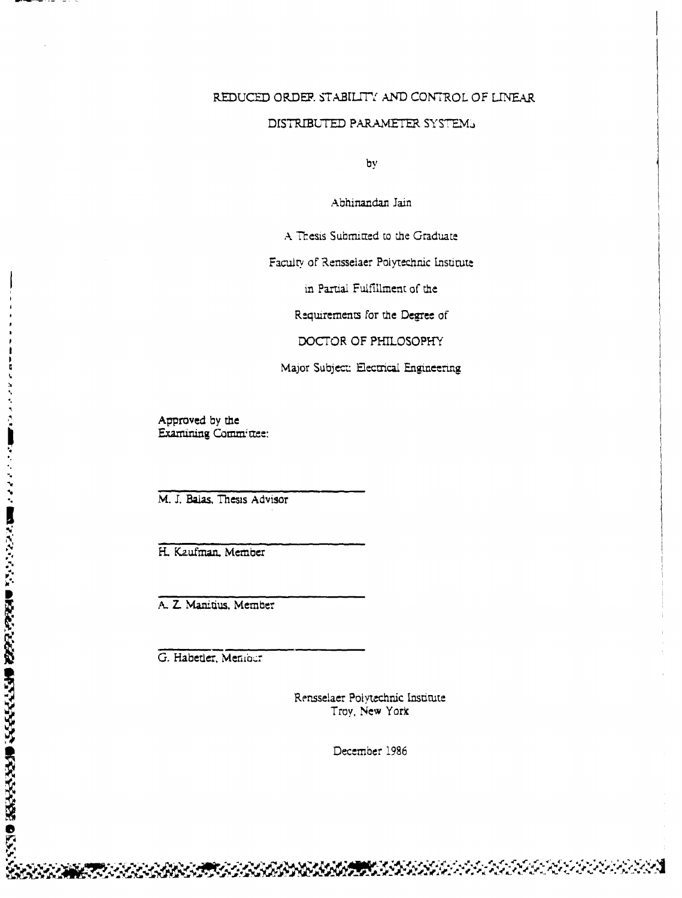# REDUCED ORDER STABILITY AND CONTROL OF LINEAR

### DISTRIBUTED PARAMETER SYSTEM.

by

Abhinandan Jain

A Thesis Submitted to the Graduate

Faculty of Rensselaer Polytechnic Institute

in Partial Fulfillment of the

Requirements for the Degree of

DOCTOR OF PHILOSOPHY

Major Subject: Electrical Engineering

Approved by the Examining Committee:

ŀ

 $\mathbf{t}$ 

AND ONE OF THE PROPERTY OF PROPERTY AND THE STATE OF THE PARTY OF THE CONTRACT OF THE PROPERTY OF THE PARTY OF THE PARTY OF THE PARTY OF THE PARTY OF THE PARTY OF THE PARTY OF THE PARTY OF THE PARTY OF THE PARTY OF THE PAR

M. J. Balas, Thesis Advisor

H. Kaufman, Member

A. Z. Manitius, Member

G. Habetler, Meniocr

Rensselaer Polytechnic Institute Troy, New York

December 1986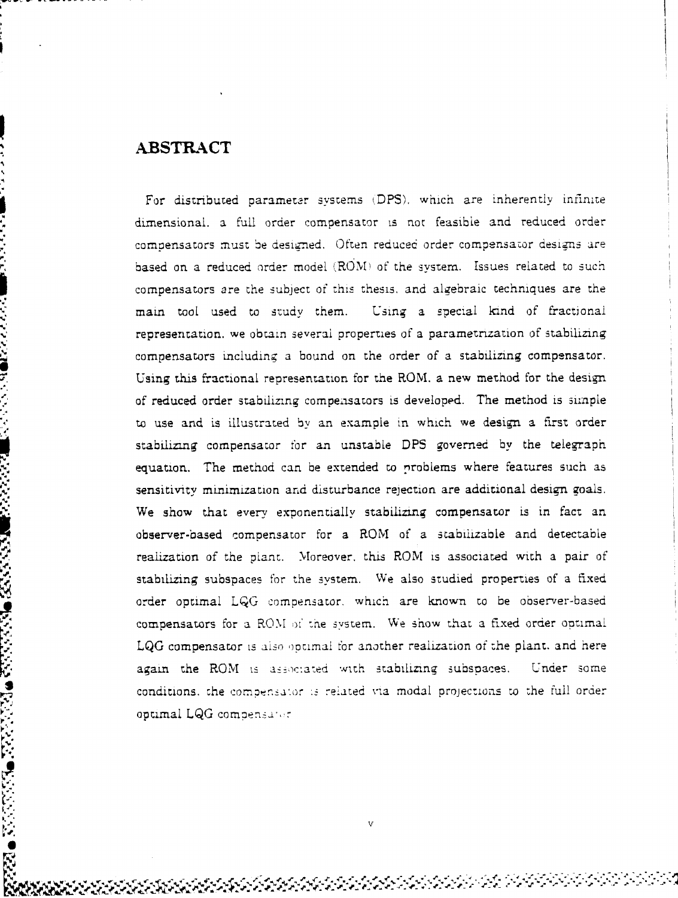*K74,*

22.22

こくさん こうしょう こくしょう こうしょう こうしょう こうしょう こうしょう こうしょう こうしょう こうしょう こうしょう こうしょう こうしょう こうしょう

For distributed parameter systems (DPS), which are inherently infinite dimensional. a full order compensator is not feasible and reduced order compensators must be designed. Often reduced order compensator designs are based on a reduced order model (ROM) of the system. Issues related to such compensators are the subject of this thesis, and algebraic techniques are the main toot used to study them. Using a special kind of fractional representation. we obtain several properties of a parametrization of stabilizing compensators including a bound on the order of a stabilizing compensator. Using this fractional representation for the ROM. a new method for the design of reduced order stabilizing compensators is developed. The method is simple to use and is illustrated by an example in which we design a First order stabilizing compensator tor an unstable DPS governed by the telegraph equation. The method can be extended to problems where features such as sensitivity minimization and disturbance rejection are additional design goals. We show that every exponentially stabilizing compensator is in fact an observer-based compensator for a ROM of a stabilizable and detectable realization of the plant. Moreover, this ROM is associated with a pair of stabilizing subspaces for the system. We also studied properties of a fixed order optimal **LQG** compensator. which are known to be observer-based compensators for a ROM **ot'** the system. We show that a fixed order optimal LQG compensator is also optimal for another realization of the plant. and here again the ROM is associated with stabilizing subspaces. Under some conditions, the compensator is related via modal projections to the full order optimal LQG compensator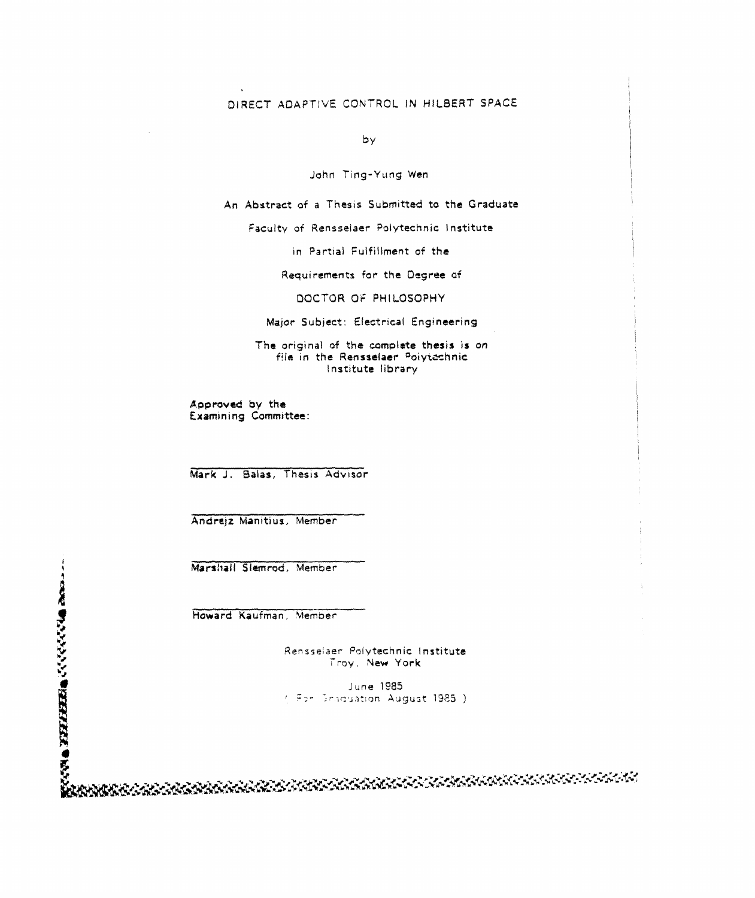# DIRECT ADAPTIVE CONTROL IN HILBERT SPACE

by

John Ting-Yung Wen

An Abstract of a Thesis Submitted to the Graduate

Faculty of Rensselaer Polytechnic Institute

in Partial Fulfillment of the

Requirements for the Degree of

DOCTOR OF PHILOSOPHY

Major Subject: Electrical Engineering

The original of the complete thesis is on file in the Rensselaer Polytechnic Institute library

Approved by the Examining Committee:

Mark J. Baias, Thesis Advisor

Andrejz Manitius, Member

Marshall Slemrod, Member

Rensselaer Polytechnic Institute<br>
Troy, New York

June 1985 (For Braduation August 1985.)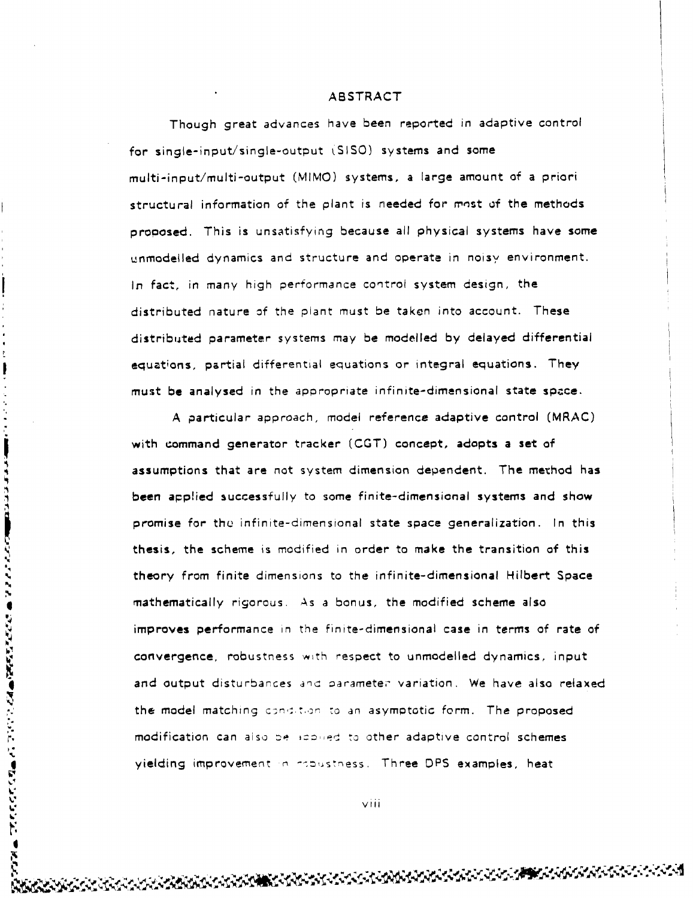Though great advances have been reported in adaptive control for single-input/single-output (SISO) systems and some multi-input/multi-output (MIMO) systems, a large amount of a priori structural information of the plant is needed for most of the methods prooosed. This is unsatisfying because all physical systems have some unmodelled dynamics and structure and operate in noisy environment. In fact, in many high performance control system design, the distributed nature of the plant must be taken into account. These distributed parameter systems may be modelled by delayed differential equations, partial differential equations or integral equations. They must be analysed in the appropriate infinite-dimensional state space.

A particular approach, model reference adaptive control (MRAC) with command generator tracker (CGT) concept, adopts a set of assumptions that are not system dimension dependent. The method has been applied successfully to some finite-dimensional systems and show promise for thu infinite-dimensional state space generalization. In this thesis, the scheme is modified in order to make the transition of this theory from finite dimensions to the infinite-dimensional Hilbert Space **4** mathematically rigorous. As a bonus, the modified scheme also improves performance in the finite-dimensional case in terms of rate of convergence, robustness with respect to unmodelled dynamics, input and output disturbances and parameter variation. We have also relaxed the model matching condition to an asymptotic form. The proposed modification can also be idomed to other adaptive control schemes yielding improvement in repustness. Three DPS examples, heat

しんかんかん ひんかい いんきん にんかんだんがん きんかい ここにん いっしょう しょうじょう

 $\bullet$ F.F. viii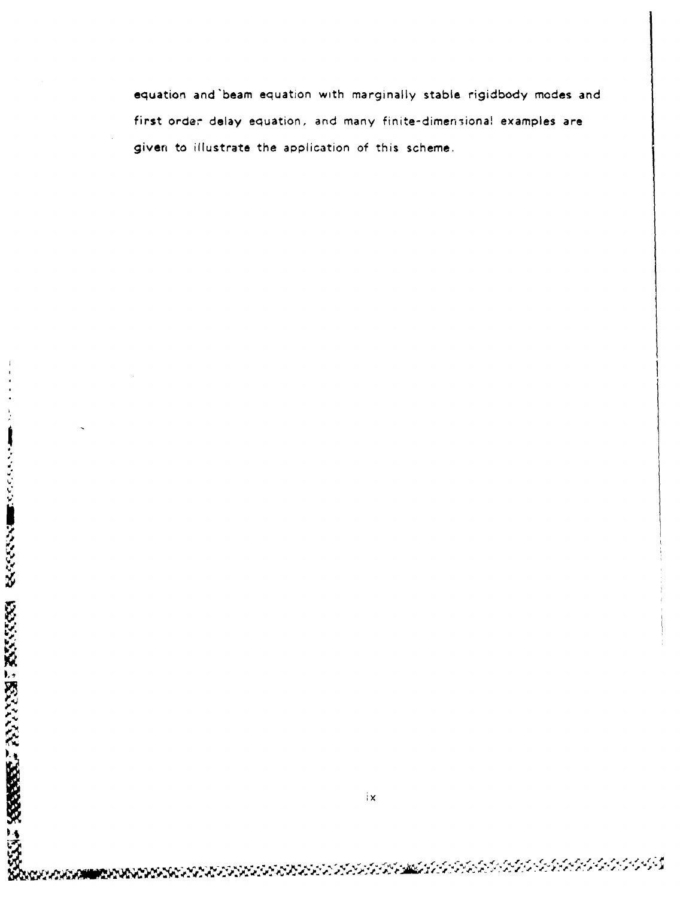equation and'beam equation with marginally stable rigidbody modes and first order delay equation, and many finite-dimensiona! examples are given to illustrate the application of this scheme.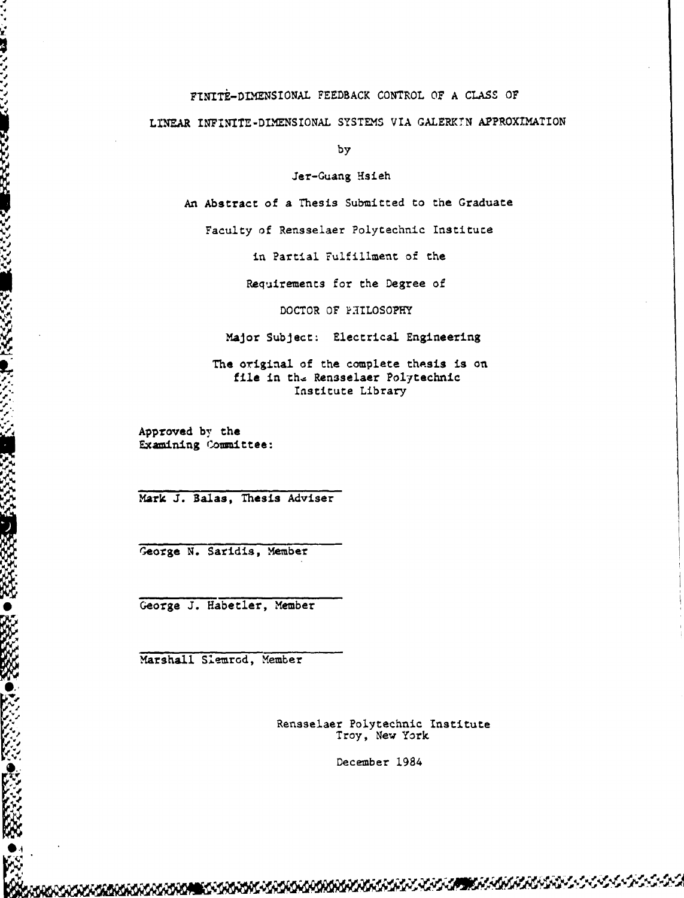FTNITE-DIMENSIONAL FEEDBACK CONTROL OF A CLASS OF LINEAR INFINITE-DIMENSIONAL SYSTEMS VIA GALERKIN APPROXIMATION

by

Jer-Guang Hsieh

An Abstract of a Thesis Submitted to the Graduate

Faculty of Rensselaer Polytechnic Institute

in Partial Fulfillment of the

Requirements for the Degree of

DOCTOR OF **PHILOSOPHY** 

Major Subject: Electrical Engineering

The original of the complete thesis is on file in the Rensselaer Polytechnic Institute Library

Approved **by** the Examining Coumittee:

**lop**

ñ,

**ASSESSED** 

**ANG** 

じんこうが

n:<br>O

U:

Mark **J.** Balas, Thesis Adviser

George N. Saridis, Member

George J. Habetler, Member

Marshall Slemrod, Member

Rensselaer Polytechnic Institute Troy, New York

December 1984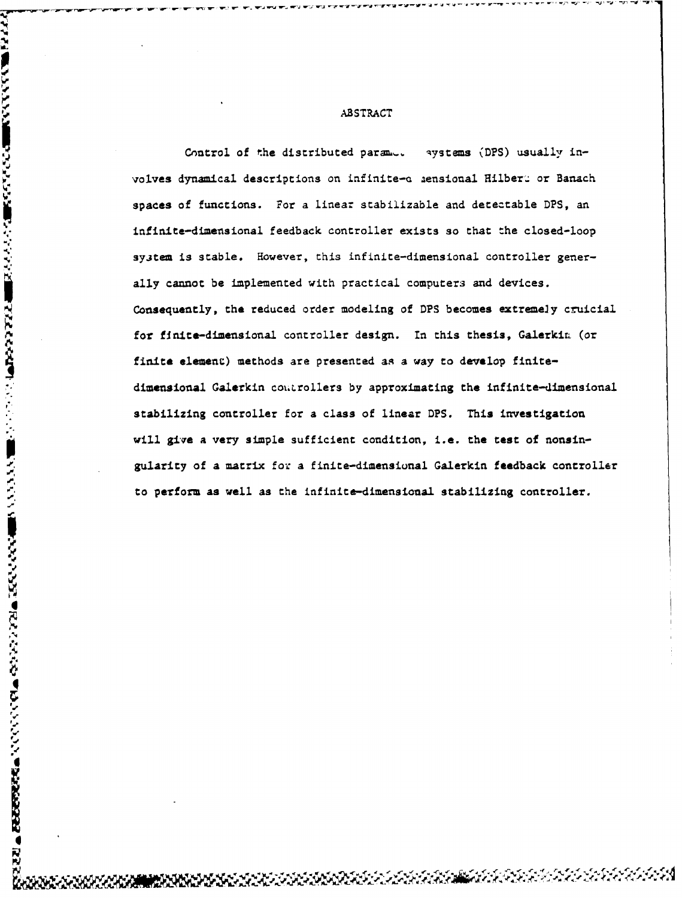ਰਾਮ ਸਾਹ ਦਾ ਹੋ ਜਾਣ ਨਹੀਂ

Control of the distributed parameters (DPS) usually involves dynamical descriptions on infinite-c aensional Hilberg or Banach spaces of functions. For a linear stabilizable and detectable DPS, an infinite-dimensional feedback controller exists so that the closed-loop sy3tem is stable. However, this infinite-dimensional controller generally cannot be implemented with practical computers and devices. Consequently, the reduced order modeling of DPS becomes extremely cruicial for finite-dimensional controller design. In this thesis, Galerkin (or finite element) methods are presented as a way to develop finitedimensional Galerkin controllers by approximating the infinite-dimensional stabilizing controller for a class of linear DPS. This investigation will give a very simple sufficient condition, i.e. the test of nonsingularity of a matrix for a finite-dimensional Galerkin feedback controller to perform as well as the infinite-dimensional stabilizing controller.

**r-. -p7**

'1

 $\overline{\mathbf{R}}$ 

A BARA A BARA A BARA A BARA A BARA A BARA A BARA A BARA A BARA A BARA A BARA A BARA A BARA A BARA A BARA A BAR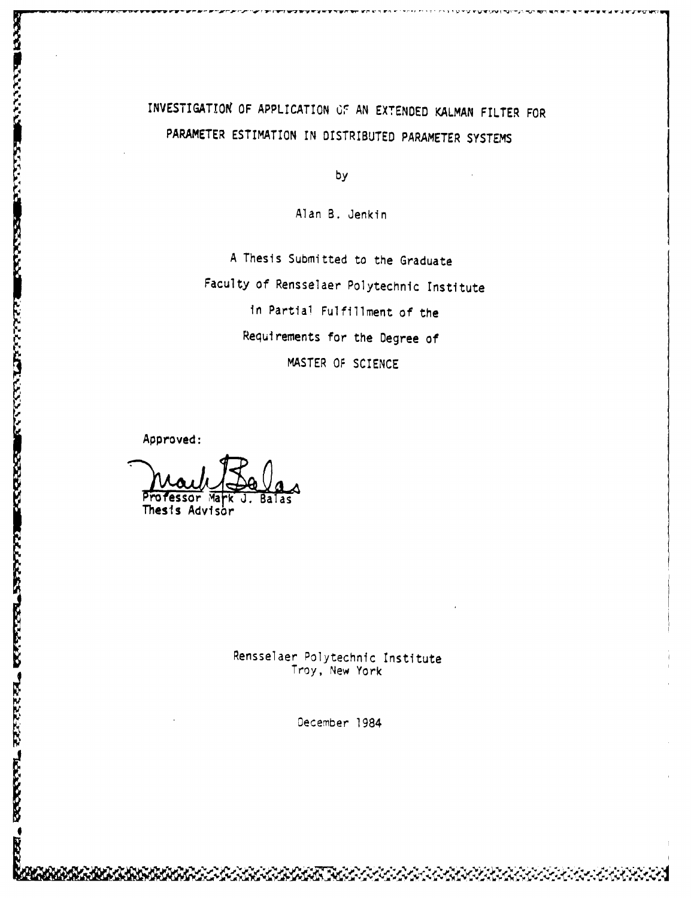# INVESTIGATION OF APPLICATION OF AN EXTENDED KALMAN FILTER FOR PARAMETER ESTIMATION IN DISTRIBUTED PARAMETER SYSTEMS

by

Alan B. Jenkin

A Thesis Submitted to the Graduate Faculty of Rensselaer Polytechnic Institute in Partial Fulfillment of the Requirements for the Degree of MASTER OF SCIENCE

Approved:

**Recent** 

**FASSASSE** 

**ESSESSION** 

**RESERVE AND** 

**EXERCISE CONTRACTORS** 

essor Ma 'k Thesis Advisor

Rensselaer Polytechnic Institute Troy, New York

December 1984<br>December 1984<br>December 1984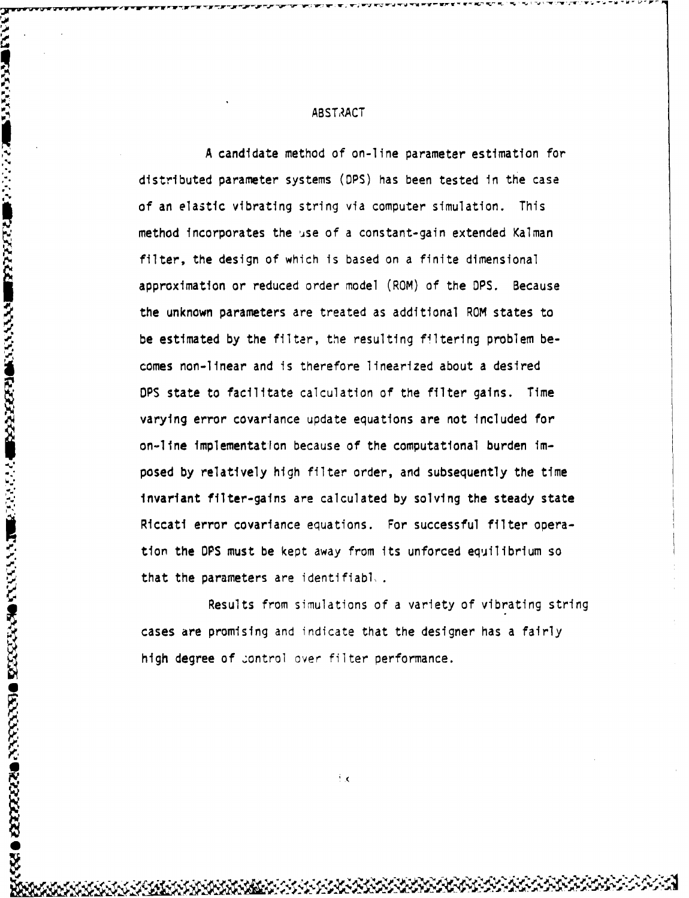A candidate method of on-line parameter estimation for distributed parameter systems (OPS) has been tested In the case of an elastic vibrating string via computer simulation. This method incorporates the jse of a constant-gain extended Kalman filter, the design of which is based on a finite dimensional approximation or reduced order model (ROM) of the OPS. Because the unknown parameters are treated as additional ROM states to be estimated by the filter, the resulting filtering problem becomes non-linear and is therefore linearized about a desired **OPS** state to facilitate calculation of the filter gains. Time varying error covariance update equations are not included for on-line implementation because of the computational burden imposed by relatively high filter order, and subsequently the time invariant filter-gains are calculated by solving the steady state Riccati error covarlance equations. For successful filter operation the DPS must be kept away from its unforced equilibrium so that the parameters are identifiabl..

Results from simulations of a variety of vibrating string cases are promising and indicate that the designer has a fairly high degree of control over filter performance.

÷х

**Fri**

**W**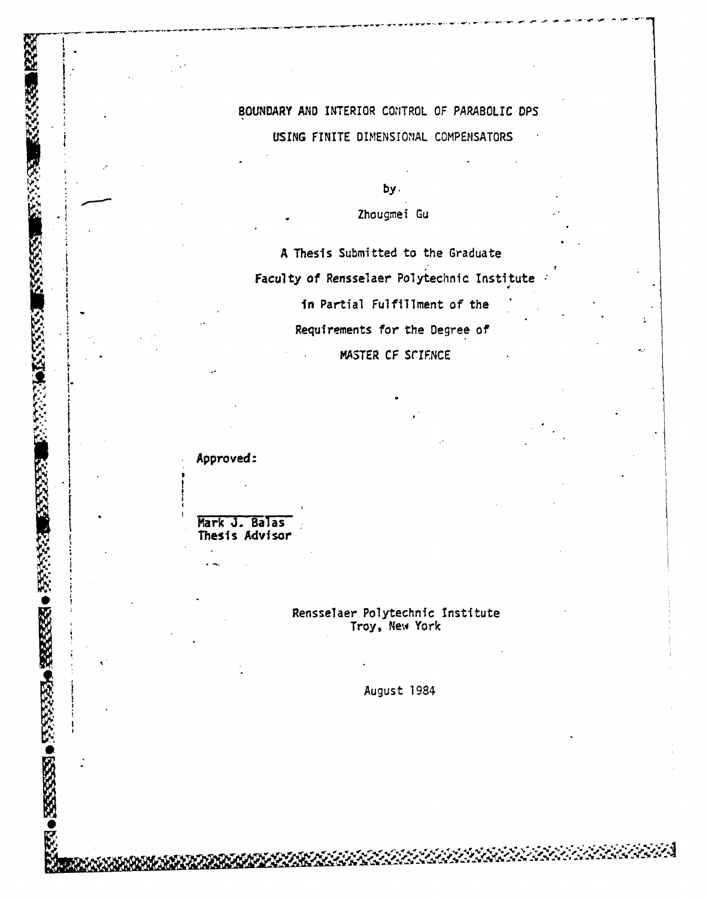# BOUNDARY AND INTERIOR CONTROL OF PARABOLIC DPS USING FINITE DIMENSIONAL COMPENSATORS

by.

Zhougmei Gu

A Thesis Submitted to the Graduate Faculty of Rensselaer Polytechnic Institute

in Partial Fulfillment of the

Requirements for the Degree of

MASTER CF SCIENCE

Approved:

**Real** 

**BEATING THE REAL PROPERTY** 

**EXECCESS** 

**AXXXXX** 

33332

**KANAKA O RESERVE O RESERVE** 

Mark J. Balas<br>Thesis Advisor

# Rensselaer Polytechnic Institute Troy, New York

August 1984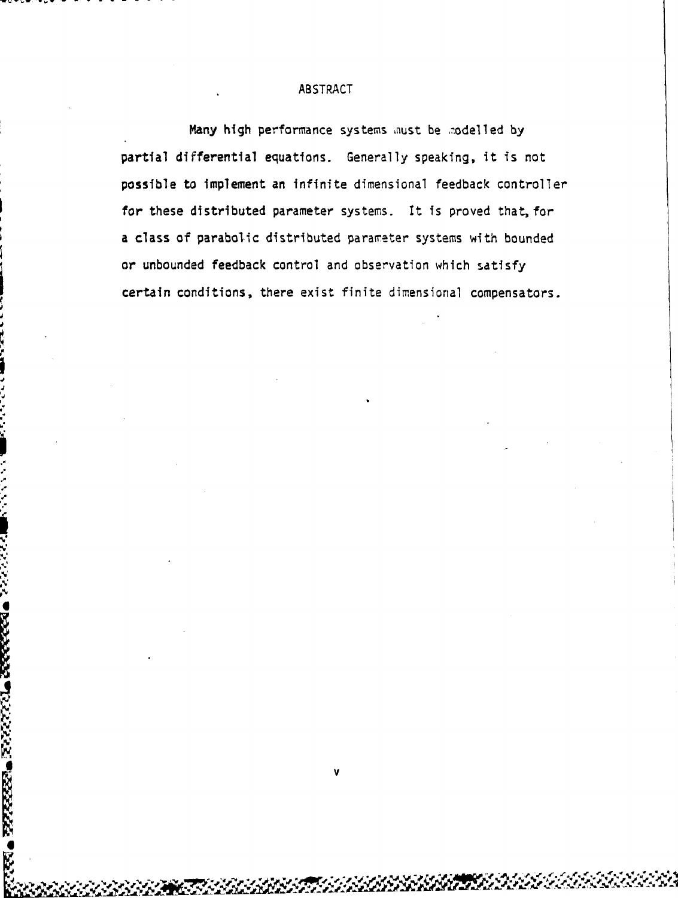Many high performance systems must be modelled by partial differential equations. Generally speaking, it is not possible to implement an infinite dimensional feedback controller for these distributed parameter systems. It is proved that, for a class of parabolic distributed parameter systems with bounded or unbounded feedback control and observation which satisfy certain conditions, there exist finite dimensional compensators.

PRIES BREEZ EN MONDERE NAVAR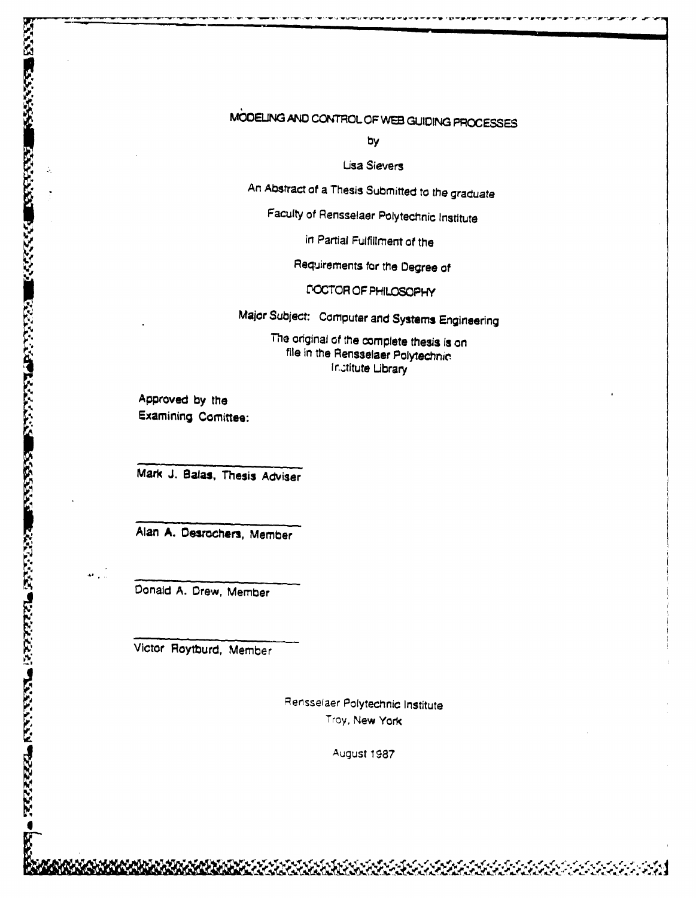# MbMODEUNG **AND** CONTROL OF WEB GUIDING **PROCESSES**

by

Lisa Sievers

An Abstract of a Thesis Submitted to the graduate

Faculty of Rensselaer Polytechnic Institute

in Partial Fulfillment of the

Requirements for the Degree of

L"OCTCR OF PHILOSOPHY

Major Subject: Computer and Systems Engineering

The original of the complete thesis is on file in the Rensselaer Polytechnic Institute Library

Approved by the **Approved by the Examining Comittee:**<br> **Approved by the Examining Comittee:**<br> **Alan A. Desrochers, Mark J. Balas, Thesi<br>
Conald A. Drew, Mem<br>
Victor Roytburd, Mem<br>
Victor Roytburd, Mem** 

Mark J. Balas, Thesis Adviser

Alan A. Desrochers, Member

Donald A. Drew, Member

Victor Roytburd, Member

Rensselaer Polytechnic Institute Troy, New York

August 1987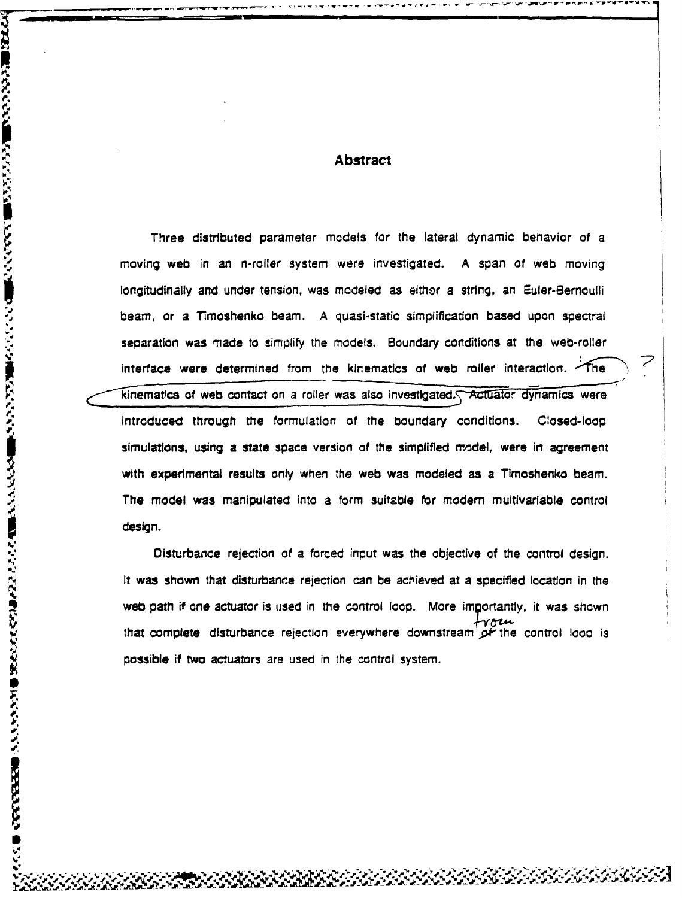## Abstract

Three distributed parameter models for the lateral dynamic behavior of a moving web in an n-roller system were investigated. A span of web moving longitudinally and under tension, was modeled as either a string, an Euler-Bernoulli beam, or a Timoshenko beam. A quasi-static simplification based upon spectral separation was made to simplify the models. Boundary conditions at the web-roller interface were determined from the kinematics of web roller interaction. The kinematics of web contact on a roller was also investigated. Actuator dynamics were introduced through the formulation of the boundary conditions. Closed-loop simulations, using a state space version of the simplified model, were in agreement with experimental results only when the web was modeled as a Timoshenko beam. The model was manipulated into a form suitzble for modern multlvarlable control design.

Disturbance rejection of a forced input was the objective of the control design. It was shown that disturbance rejection can be achieved at a specified location in the web path if one actuator is used in the control loop. More importantly, it was shown that complete disturbance rejection everywhere downstream  $\phi^*$  the control loop is possible if two actuators are used in the control system.

**1.0**

i<br>F

**V**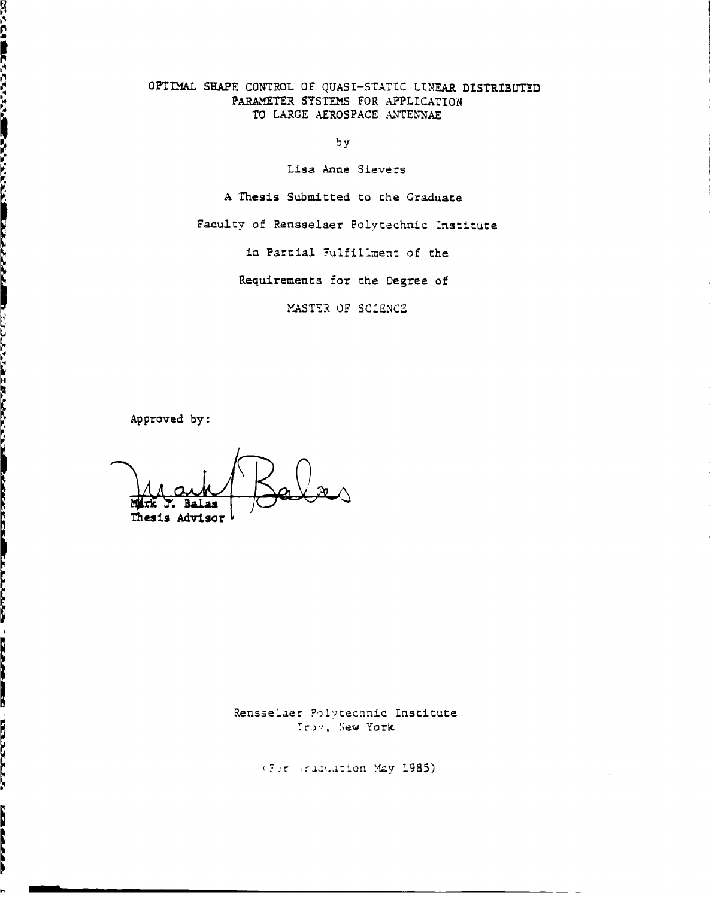OPTIMAL SAPF. CONTROL OF QUASI-STATIC LINEAR DISTRIBUTED PARAMETER SYSTEMS FOR APPLICATION TO LARGE AEROSPACE ANTENNAE

by

Lisa Anne Sievers

A Thesis Submitted to the Graduate

Faculty of Rensselaer Polvtechnic lnstitute

in Partial Fulfillment of the

Requirements for the Degree of

MASTER OF SCIENCE

Approved by:

ないこう 地方さい こうかん 風味だいこうどく

**DESCRIPTION AND LONGITY OF A REPORT OF A STREET** 

Thesis Advisor

Rensselaer Polytechnic Institute Trov, New York

I, Iay **1985)**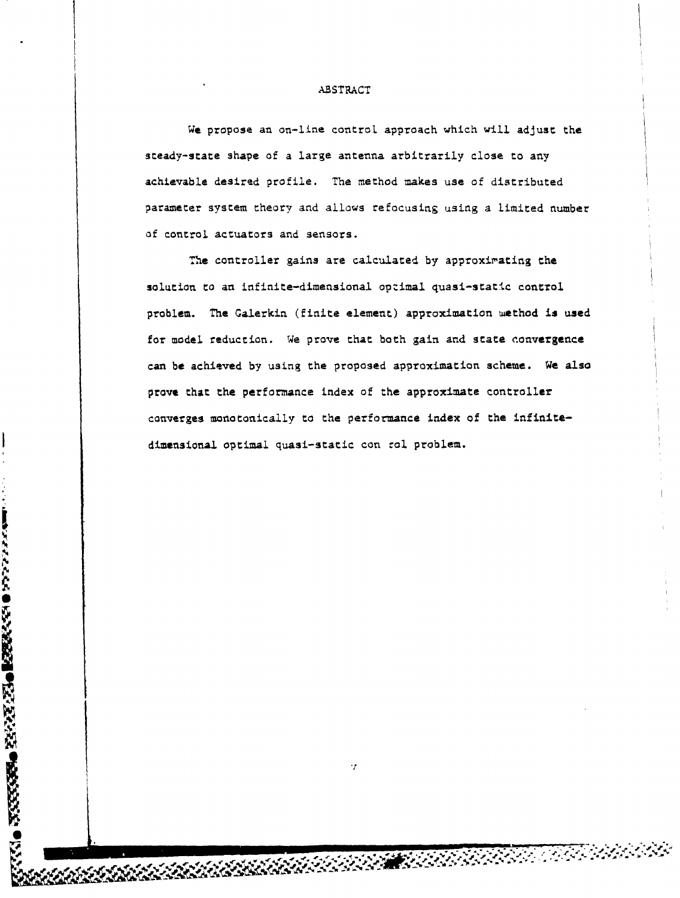We propose an on-line control approach which will adjust the steady-state shape of a large antenna arbitrarily close to any achievable desired profile. The method makes use of distributed parameter system theory and allows refocusing using a limited number of control actuators and sensors.

The controller gains are calculated by approximating the solution to an infinite-dimensional optimal quasi-static control problem. The Galerkin (finite element) approximation method is used for model reduction. We prove that both gain and state convergence can **be** achieved by using the proposed approximation scheme. We also prove that the performance index of the approximate controller converges monotonically to the performance index of the infinitedimensional optimal quasi-static con **rol.** problem.

 $\cdot$ r

**RANDER CONSTANT** 

**INGSSSSは、近代的の間違うないのからないと思います。** 

ý

Se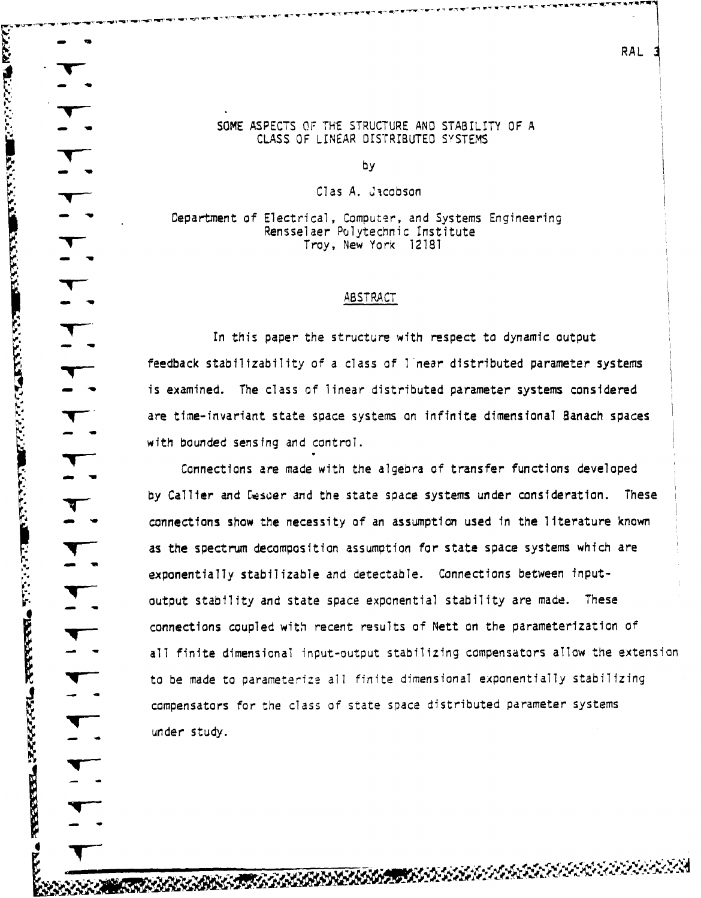SOME ASPECTS OF THE STRUCTURE AND STABILITY OF A CLASS OF LINEAR DISTRIBUTED SYSTEMS

RRAL

by

Clas A. Jacobson

Department of Electrical, Computer, and Systems Engineering Rensselaer Polytechnic Institute Troy, New York 12181

#### ABSTRACT

In this paper the structure with respect to dynamic output feedback stabilizability of a class of I near distributed parameter systems is examined. The class of linear distributed parameter systems considered are time-invariant state space systems on infinite dimensional Banach spaces with bounded sensing and control.

Connections are made with the algebra of transfer functions developed by Callier and Desder and the state space systems under consideration. These connections show the necessity of an assumption used in the literature known as the spectrum decomposition assumption for state space systems which are exponentially stabilizable and detectable. Connections between inputexponentially stabilitable and detectable. Connections between miput output stability and state space exponential stability are made. These connections coupled with recent results of Nett on the parameterization of all finite dimensional input-output stabilizing compensators allow the extension to be made to parameterize all finite dimensional exponentially stabilizing compensators for the class of state space distributed parameter systems under study.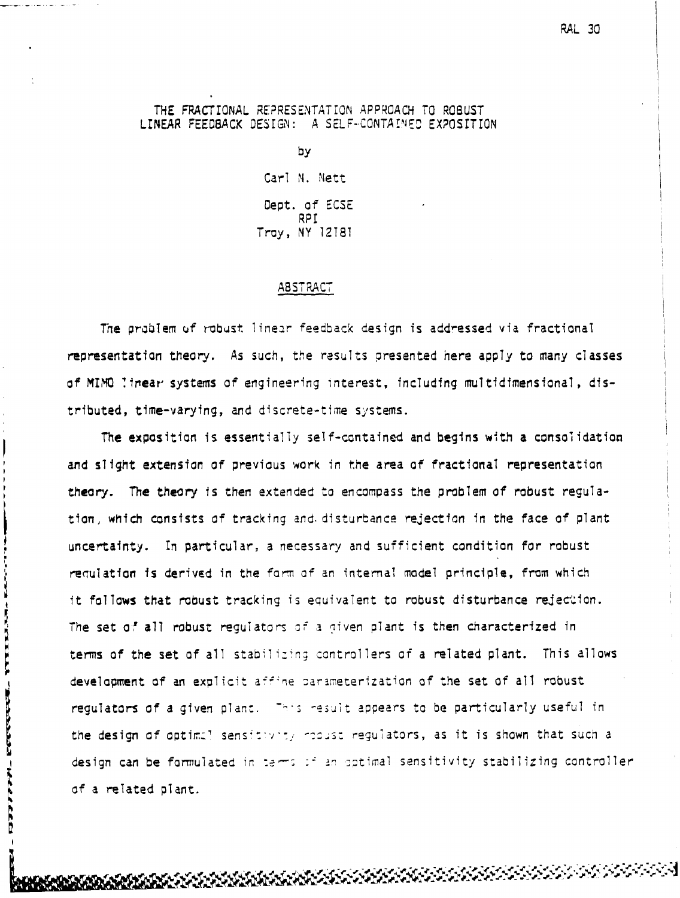## THE FRACTIONAL REPRESENTATION APPROACH TO ROBUST LINEAR FEEDBACK DESIGN: A SELF-CONTAINED EXPOSITION

by Carl N. Nett Oept. of ECSE RPI Troy, NY 12T81

## ABSTRACT

The problem uf robust linear feedback design is addressed via fractional representation theory. As such, the results presented here apply to many classes of MIMO .irear systems of engineering interest, including multidimensional, distributed, time-varying, and discrete-time systems.

The exposition is essentially self-contained and begins with a consolidation and slight extension of previous work in the area of fractional representation theory. The theory is then extended to encompass the problem of robust regulation, which consists of tracking and. disturbance rejection in the face of plant uncertainty. In particular, a necessary and sufficient condition for robust requiation is derived in the form of an internal model principle, from which it follows that robust tracking is equivalent to robust disturbance rejection. The set of all robust regulators of a given plant is then characterized in terms of the set of all stabilizing controllers of a related plant. This allows development of an explicit affine parameterization of the set of all robust regulators of a given plant. This result appears to be particularly useful in the design of optimal sensitivity requiators, as it is shown that such a design can be formulated in terms of an optimal sensitivity stabilizing controller of a related plant.

**EXPERIENCE AND EXPLOSIT** 

**HARANDER**